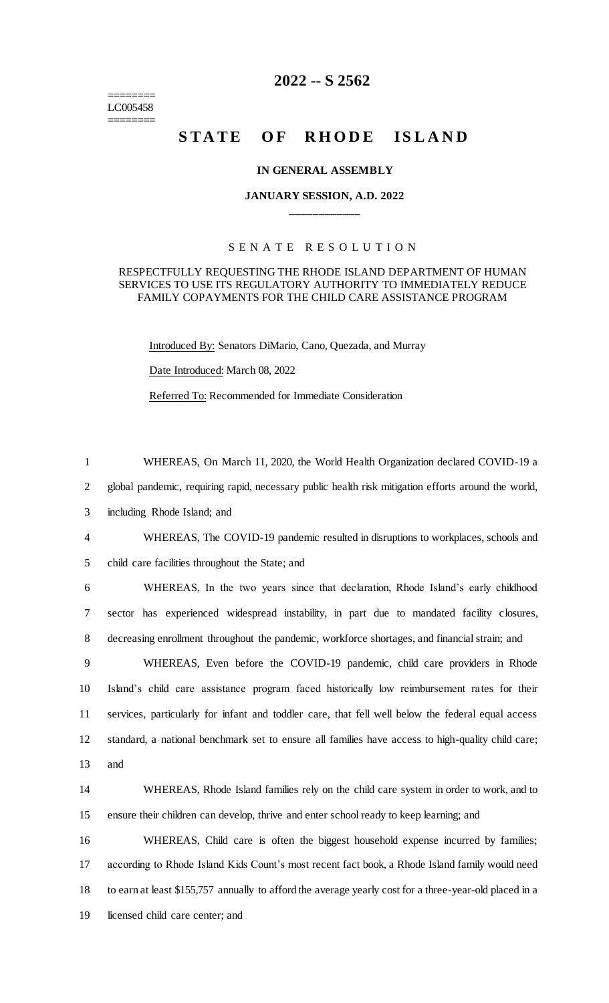======== LC005458 ========

# **2022 -- S 2562**

# **STATE OF RHODE ISLAND**

## **IN GENERAL ASSEMBLY**

# **JANUARY SESSION, A.D. 2022 \_\_\_\_\_\_\_\_\_\_\_\_**

# S E N A T E R E S O L U T I O N

## RESPECTFULLY REQUESTING THE RHODE ISLAND DEPARTMENT OF HUMAN SERVICES TO USE ITS REGULATORY AUTHORITY TO IMMEDIATELY REDUCE FAMILY COPAYMENTS FOR THE CHILD CARE ASSISTANCE PROGRAM

Introduced By: Senators DiMario, Cano, Quezada, and Murray

Date Introduced: March 08, 2022

Referred To: Recommended for Immediate Consideration

1 WHEREAS, On March 11, 2020, the World Health Organization declared COVID-19 a

2 global pandemic, requiring rapid, necessary public health risk mitigation efforts around the world,

3 including Rhode Island; and

4 WHEREAS, The COVID-19 pandemic resulted in disruptions to workplaces, schools and 5 child care facilities throughout the State; and

6 WHEREAS, In the two years since that declaration, Rhode Island's early childhood 7 sector has experienced widespread instability, in part due to mandated facility closures, 8 decreasing enrollment throughout the pandemic, workforce shortages, and financial strain; and

 WHEREAS, Even before the COVID-19 pandemic, child care providers in Rhode Island's child care assistance program faced historically low reimbursement rates for their services, particularly for infant and toddler care, that fell well below the federal equal access standard, a national benchmark set to ensure all families have access to high-quality child care; 13 and

14 WHEREAS, Rhode Island families rely on the child care system in order to work, and to 15 ensure their children can develop, thrive and enter school ready to keep learning; and

 WHEREAS, Child care is often the biggest household expense incurred by families; according to Rhode Island Kids Count's most recent fact book, a Rhode Island family would need to earn at least \$155,757 annually to afford the average yearly cost for a three-year-old placed in a licensed child care center; and